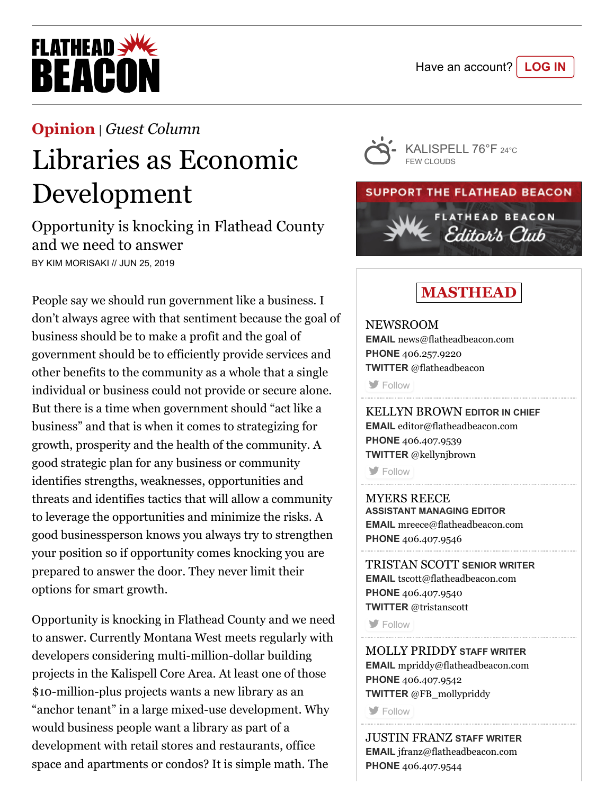

### **[Opinion](https://flatheadbeacon.com/section/opinion/)** | *[Guest Column](https://flatheadbeacon.com/section/opinion/guest-column/)*

# Libraries as Economic Development

Opportunity is knocking in Flathead County and we need to answer BY KIM MORISAKI // JUN 25, 2019

People say we should run government like a business. I don't always agree with that sentiment because the goal of business should be to make a profit and the goal of government should be to efficiently provide services and other benefits to the community as a whole that a single individual or business could not provide or secure alone. But there is a time when government should "act like a business" and that is when it comes to strategizing for growth, prosperity and the health of the community. A good strategic plan for any business or community identifies strengths, weaknesses, opportunities and threats and identifies tactics that will allow a community to leverage the opportunities and minimize the risks. A good businessperson knows you always try to strengthen your position so if opportunity comes knocking you are prepared to answer the door. They never limit their options for smart growth.

Opportunity is knocking in Flathead County and we need to answer. Currently Montana West meets regularly with developers considering multi-million-dollar building projects in the Kalispell Core Area. At least one of those \$10-million-plus projects wants a new library as an "anchor tenant" in a large mixed-use development. Why would business people want a library as part of a development with retail stores and restaurants, office space and apartments or condos? It is simple math. The





## **MASTHEAD**

NEWSROOM **EMAIL** [news@flatheadbeacon.com](mailto:news@flatheadbeacon.com) **PHONE** [406.257.9220](tel:406.257.9220) **TWITTER** @flatheadbeacon

**[Follow](http://twitter.com/flatheadbeacon)** 

KELLYN BROWN **EDITOR IN CHIEF EMAIL** [editor@flatheadbeacon.com](mailto:editor@flatheadbeacon.com) **PHONE** [406.407.9539](tel:406.407.9539) **TWITTER** @kellynjbrown

**[Follow](http://twitter.com/kellynjbrown)** 

MYERS REECE **ASSISTANT MANAGING EDITOR EMAIL** [mreece@flatheadbeacon.com](mailto:mreece@flatheadbeacon.com) **PHONE** [406.407.9546](tel:406.407.9546)

TRISTAN SCOTT **SENIOR WRITER EMAIL** [tscott@flatheadbeacon.com](mailto:tscott@flatheadbeacon.com) **PHONE** [406.407.9540](tel:406.407.9540) **TWITTER** @tristanscott

**[Follow](http://twitter.com/tristanscott)** 

MOLLY PRIDDY **STAFF WRITER EMAIL** [mpriddy@flatheadbeacon.com](mailto:mpriddy@flatheadbeacon.com) **PHONE** [406.407.9542](tel:406.407.9542) **TWITTER** @FB\_mollypriddy

**S** [Follow](http://twitter.com/FB_mollypriddy)

JUSTIN FRANZ **STAFF WRITER EMAIL** [jfranz@flatheadbeacon.com](mailto:jfranz@flatheadbeacon.com) **PHONE** [406.407.9544](tel:406.407.9544)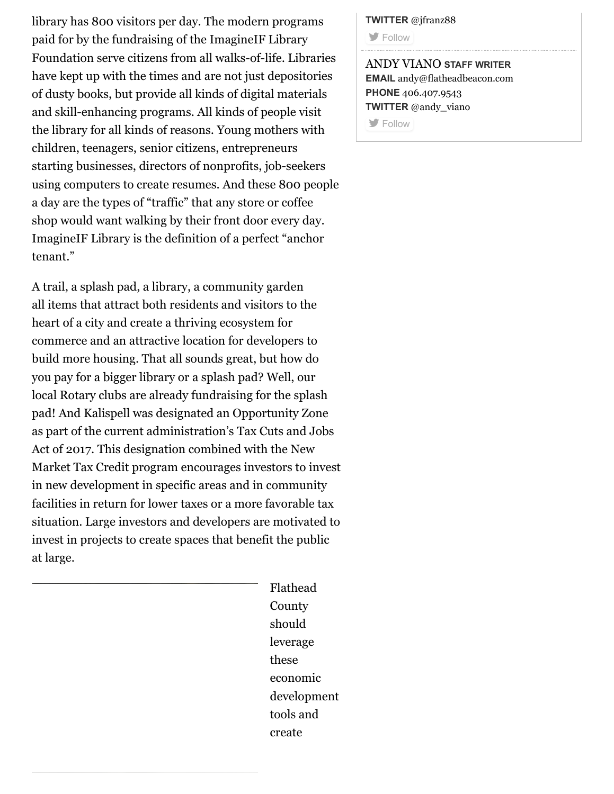library has 800 visitors per day. The modern programs paid for by the fundraising of the ImagineIF Library Foundation serve citizens from all walks-of-life. Libraries have kept up with the times and are not just depositories of dusty books, but provide all kinds of digital materials and skill-enhancing programs. All kinds of people visit the library for all kinds of reasons. Young mothers with children, teenagers, senior citizens, entrepreneurs starting businesses, directors of nonprofits, job-seekers using computers to create resumes. And these 800 people a day are the types of "traffic" that any store or coffee shop would want walking by their front door every day. ImagineIF Library is the definition of a perfect "anchor tenant."

A trail, a splash pad, a library, a community garden all items that attract both residents and visitors to the heart of a city and create a thriving ecosystem for commerce and an attractive location for developers to build more housing. That all sounds great, but how do you pay for a bigger library or a splash pad? Well, our local Rotary clubs are already fundraising for the splash pad! And Kalispell was designated an Opportunity Zone as part of the current administration's Tax Cuts and Jobs Act of 2017. This designation combined with the New Market Tax Credit program encourages investors to invest in new development in specific areas and in community facilities in return for lower taxes or a more favorable tax situation. Large investors and developers are motivated to invest in projects to create spaces that benefit the public at large.

> Flathead County should leverage these economic development tools and create

#### **TWITTER** @jfranz88

**[Follow](http://twitter.com/jfranz88)** 

ANDY VIANO **STAFF WRITER EMAIL** [andy@flatheadbeacon.com](mailto:andy@flatheadbeacon.com) **PHONE** [406.407.9543](tel:406.407.9543) **TWITTER** @andy\_viano

**[Follow](http://twitter.com/andy_viano)**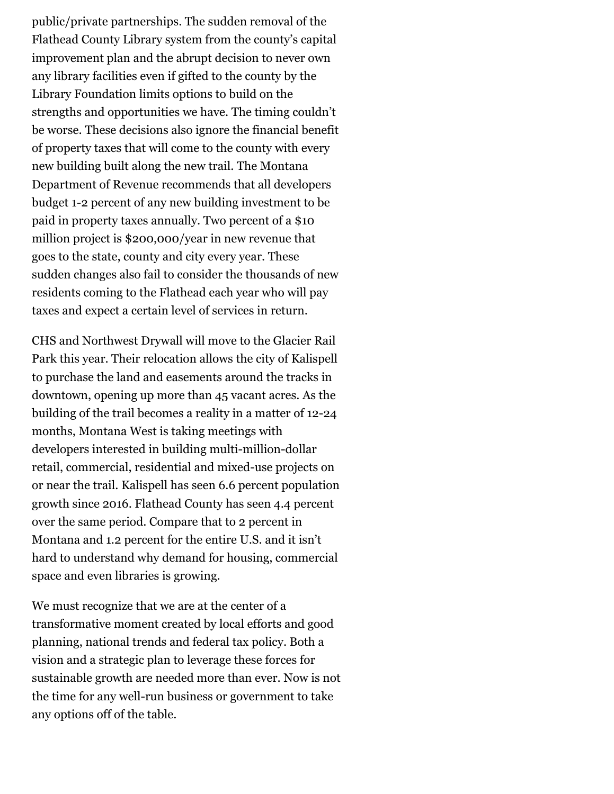public/private partnerships. The sudden removal of the Flathead County Library system from the county's capital improvement plan and the abrupt decision to never own any library facilities even if gifted to the county by the Library Foundation limits options to build on the strengths and opportunities we have. The timing couldn't be worse. These decisions also ignore the financial benefit of property taxes that will come to the county with every new building built along the new trail. The Montana Department of Revenue recommends that all developers budget 1-2 percent of any new building investment to be paid in property taxes annually. Two percent of a \$10 million project is \$200,000/year in new revenue that goes to the state, county and city every year. These sudden changes also fail to consider the thousands of new residents coming to the Flathead each year who will pay taxes and expect a certain level of services in return.

CHS and Northwest Drywall will move to the Glacier Rail Park this year. Their relocation allows the city of Kalispell to purchase the land and easements around the tracks in downtown, opening up more than 45 vacant acres. As the building of the trail becomes a reality in a matter of 12-24 months, Montana West is taking meetings with developers interested in building multi-million-dollar retail, commercial, residential and mixed-use projects on or near the trail. Kalispell has seen 6.6 percent population growth since 2016. Flathead County has seen 4.4 percent over the same period. Compare that to 2 percent in Montana and 1.2 percent for the entire U.S. and it isn't hard to understand why demand for housing, commercial space and even libraries is growing.

We must recognize that we are at the center of a transformative moment created by local efforts and good planning, national trends and federal tax policy. Both a vision and a strategic plan to leverage these forces for sustainable growth are needed more than ever. Now is not the time for any well-run business or government to take any options off of the table.